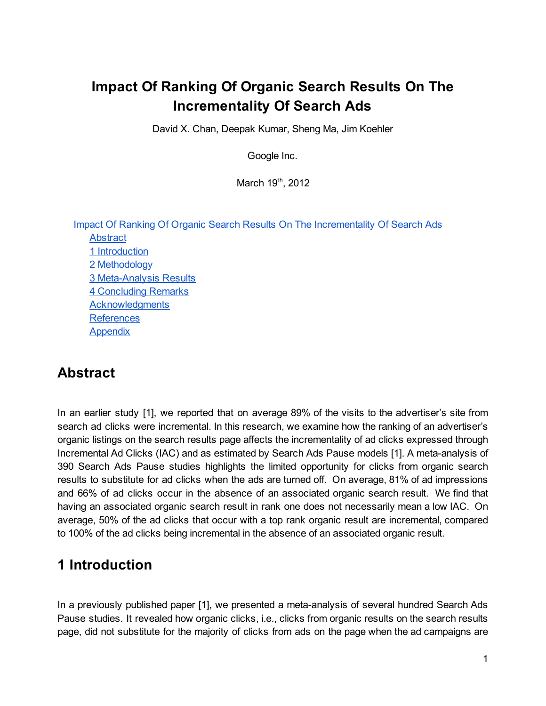## **Impact Of Ranking Of Organic Search Results On The Incrementality Of Search Ads**

David X. Chan, Deepak Kumar, Sheng Ma, Jim Koehler

Google Inc.

March 19<sup>th</sup>, 2012

| <b>Impact Of Ranking Of Organic Search Results On The Incrementality Of Search Ads</b> |
|----------------------------------------------------------------------------------------|
| <b>Abstract</b>                                                                        |
| 1 Introduction                                                                         |
| 2 Methodology                                                                          |
| 3 Meta-Analysis Results                                                                |
| <b>4 Concluding Remarks</b>                                                            |
| <b>Acknowledgments</b>                                                                 |
| <b>References</b>                                                                      |
| Appendix                                                                               |

### **Abstract**

In an earlier study [1], we reported that on average 89% of the visits to the advertiser's site from search ad clicks were incremental. In this research, we examine how the ranking of an advertiser's organic listings on the search results page affects the incrementality of ad clicks expressed through Incremental Ad Clicks (IAC) and as estimated by Search Ads Pause models [1]. A meta-analysis of 390 Search Ads Pause studies highlights the limited opportunity for clicks from organic search results to substitute for ad clicks when the ads are turned off. On average, 81% of ad impressions and 66% of ad clicks occur in the absence of an associated organic search result. We find that having an associated organic search result in rank one does not necessarily mean a low IAC. On average, 50% of the ad clicks that occur with a top rank organic result are incremental, compared to 100% of the ad clicks being incremental in the absence of an associated organic result.

### **1 Introduction**

In a previously published paper [1], we presented a meta-analysis of several hundred Search Ads Pause studies. It revealed how organic clicks, i.e., clicks from organic results on the search results page, did not substitute for the majority of clicks from ads on the page when the ad campaigns are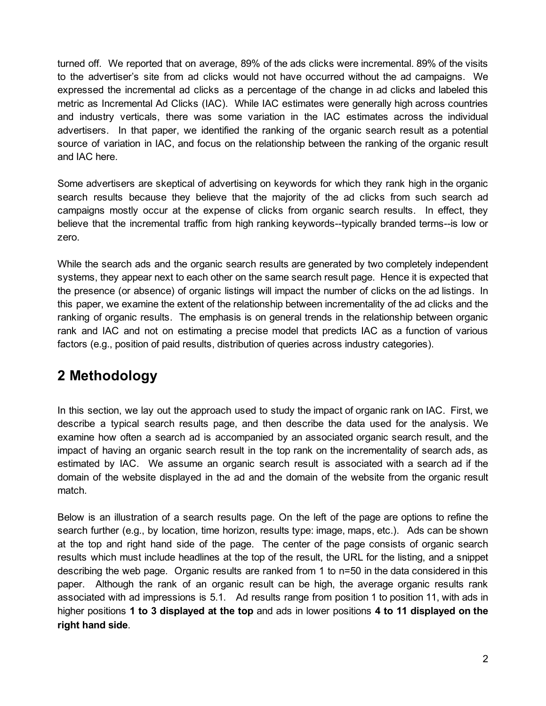turned off. We reported that on average, 89% of the ads clicks were incremental. 89% of the visits to the advertiser's site from ad clicks would not have occurred without the ad campaigns. We expressed the incremental ad clicks as a percentage of the change in ad clicks and labeled this metric as Incremental Ad Clicks (IAC). While IAC estimates were generally high across countries and industry verticals, there was some variation in the IAC estimates across the individual advertisers. In that paper, we identified the ranking of the organic search result as a potential source of variation in IAC, and focus on the relationship between the ranking of the organic result and IAC here.

Some advertisers are skeptical of advertising on keywords for which they rank high in the organic search results because they believe that the majority of the ad clicks from such search ad campaigns mostly occur at the expense of clicks from organic search results. In effect, they believe that the incremental traffic from high ranking keywords--typically branded terms--is low or zero.

While the search ads and the organic search results are generated by two completely independent systems, they appear next to each other on the same search result page. Hence it is expected that the presence (or absence) of organic listings will impact the number of clicks on the ad listings. In this paper, we examine the extent of the relationship between incrementality of the ad clicks and the ranking of organic results. The emphasis is on general trends in the relationship between organic rank and IAC and not on estimating a precise model that predicts IAC as a function of various factors (e.g., position of paid results, distribution of queries across industry categories).

### **2 Methodology**

In this section, we lay out the approach used to study the impact of organic rank on IAC. First, we describe a typical search results page, and then describe the data used for the analysis. We examine how often a search ad is accompanied by an associated organic search result, and the impact of having an organic search result in the top rank on the incrementality of search ads, as estimated by IAC. We assume an organic search result is associated with a search ad if the domain of the website displayed in the ad and the domain of the website from the organic result match.

Below is an illustration of a search results page. On the left of the page are options to refine the search further (e.g., by location, time horizon, results type: image, maps, etc.). Ads can be shown at the top and right hand side of the page. The center of the page consists of organic search results which must include headlines at the top of the result, the URL for the listing, and a snippet describing the web page. Organic results are ranked from 1 to n=50 in the data considered in this paper. Although the rank of an organic result can be high, the average organic results rank associated with ad impressions is 5.1. Ad results range from position 1 to position 11, with ads in higher positions **1 to 3 displayed at the top** and ads in lower positions **4 to 11 displayed on the right hand side**.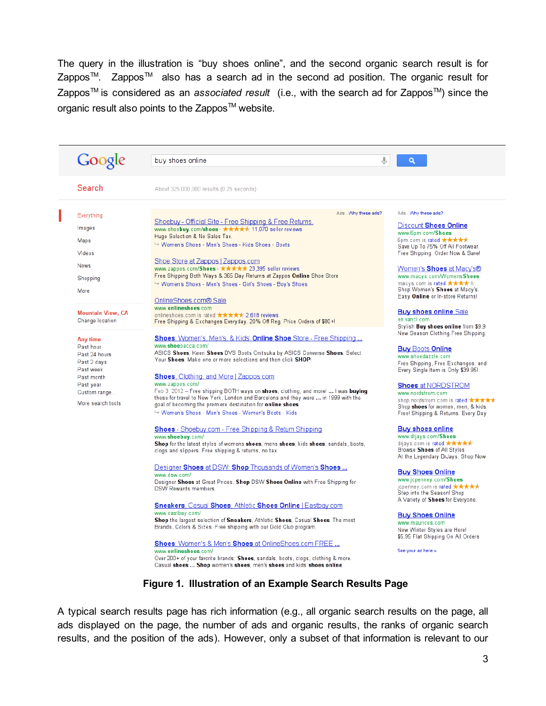The query in the illustration is "buy shoes online", and the second organic search result is for Zappos™. Zappos™ also has a search ad in the second ad position. The organic result for Zappos<sup>™</sup> is considered as an *associated result* (i.e., with the search ad for Zappos<sup>™</sup>) since the organic result also points to the Zappos<sup>™</sup> website.

| Google                                      | buy shoes online                                                                                                                                           | $\alpha$                                                                         |
|---------------------------------------------|------------------------------------------------------------------------------------------------------------------------------------------------------------|----------------------------------------------------------------------------------|
| Search                                      | About 325,000,000 results (0.25 seconds)                                                                                                                   |                                                                                  |
| Everything                                  | Ads - Why these ads?                                                                                                                                       | Ads - Why these ads?                                                             |
| Images                                      | Shoebuy - Official Site - Free Shipping & Free Returns.                                                                                                    | Discount Shoes Online                                                            |
|                                             | www.shoebuy.com/shoes - ***** 11,070 seller reviews<br>Huge Selection & No Sales Tax.                                                                      | www.6pm.com/Shoes                                                                |
| Maps                                        | → Women's Shoes - Men's Shoes - Kids Shoes - Boots                                                                                                         | 6pm.com is rated $\star\star\star\star\star$<br>Save Up To 75% Off All Footwear. |
| Videos                                      |                                                                                                                                                            | Free Shipping. Order Now & Save!                                                 |
| <b>News</b>                                 | Shoe Store at Zappos   Zappos.com<br>www.zappos.com/Shoes - ★★★★★ 23,395 seller reviews                                                                    | Women's Shoes at Macy's®                                                         |
| Shopping                                    | Free Shipping Both Ways & 365 Day Returns at Zappos Online Shoe Store                                                                                      | www.macys.com/WomensShoes                                                        |
|                                             | → Women's Shoes - Men's Shoes - Girl's Shoes - Boy's Shoes                                                                                                 | macys.com is rated $\star\star\star\star$<br>Shop Women's Shoes at Macy's.       |
| More                                        | OnlineShoes.com® Sale                                                                                                                                      | Easy Online or In-store Returns!                                                 |
|                                             | www.onlineshoes.com                                                                                                                                        |                                                                                  |
| <b>Mountain View, CA</b><br>Change location | onlineshoes com is rated $\star\star\star\star\star$ 2,618 reviews                                                                                         | <b>Buy shoes online Sale</b><br>en.vancl.com                                     |
|                                             | Free Shipping & Exchanges Everyday. 20% Off Reg. Price Orders of \$80+!                                                                                    | Stylish Buy shoes online from \$9.9                                              |
| Any time                                    | <b>Shoes:</b> Women's, Men's, & Kids' <b>Online Shoe</b> Store - Free Shipping                                                                             | New Season Clothing. Free Shipping.                                              |
| Past hour                                   | www.shoebacca.com/                                                                                                                                         | <b>Buy Boots Online</b>                                                          |
| Past 24 hours                               | ASICS Shoes. Keen Shoes DVS Boots Onitsuka by ASICS Converse Shoes. Select<br>Your Shoes. Make one or more selections and then click SHOP!                 | www.shoedazzle.com                                                               |
| Past 2 days<br>Past week                    |                                                                                                                                                            | Free Shipping, Free Exchanges, and<br>Every Single Item is Only \$39.95!         |
| Past month                                  | <b>Shoes</b> , Clothing, and More   Zappos.com                                                                                                             |                                                                                  |
| Past year<br>Custom range                   | www.zappos.com/<br>Feb 3, 2012 – Free shipping BOTH ways on <b>shoes</b> , clothing, and more!  I was <b>buying</b>                                        | <b>Shoes at NORDSTROM</b><br>www.nordstrom.com                                   |
|                                             | these for travel to New York, London and Barcelona and they were  in 1999 with the                                                                         | shop.nordstrom.com is rated ★★★★★                                                |
| More search tools                           | goal of becoming the premiere destination for online shoes.<br>→ Women's Shoes - Men's Shoes - Women's Boots - Kids                                        | Shop shoes for women, men, & kids.<br>Free! Shipping & Returns. Every Day        |
|                                             |                                                                                                                                                            |                                                                                  |
|                                             | <b>Shoes</b> - Shoebuy.com - Free Shipping & Return Shipping                                                                                               | <b>Buy shoes online</b>                                                          |
|                                             | www.shoebuy.com/<br>Shop for the latest styles of womens shoes, mens shoes, kids shoes, sandals, boots,                                                    | www.drjays.com/Shoes<br>drjays.com is rated ★★★★★                                |
|                                             | clogs and slippers. Free shipping & returns, no tax.                                                                                                       | Browse Shoes of All Styles                                                       |
|                                             |                                                                                                                                                            | At the Legendary DrJays. Shop Now.                                               |
|                                             | Designer Shoes at DSW: Shop Thousands of Women's Shoes<br>www.dsw.com/                                                                                     | <b>Buy Shoes Online</b>                                                          |
|                                             | Designer Shoes at Great Prices. Shop DSW Shoes Online with Free Shipping for                                                                               | www.jcpenney.com/Shoes<br>jcpenney.com is rated ★★★★★                            |
|                                             | <b>DSW Rewards members.</b>                                                                                                                                | Step into the Season! Shop                                                       |
|                                             | <b>Sneakers</b> , Casual Shoes, Athletic Shoes Online   Eastbay.com                                                                                        | A Variety of Shoes for Everyone.                                                 |
|                                             | www.eastbay.com/                                                                                                                                           | <b>Buy Shoes Online</b>                                                          |
|                                             | Shop the largest selection of Sneakers, Athletic Shoes, Casual Shoes. The most<br>Brands, Colors & Sizes. Free shipping with our Gold Club program.        | www.maurices.com                                                                 |
|                                             |                                                                                                                                                            | New Winter Styles are Here!<br>\$5.95 Flat Shipping On All Orders                |
|                                             | <b>Shoes: Women's &amp; Men's Shoes at Online Shoes.com FREE</b>                                                                                           |                                                                                  |
|                                             | www.onlineshoes.com/                                                                                                                                       | See your ad here »                                                               |
|                                             | Over 200+ of your favorite brands; Shoes, sandals, boots, clogs, clothing & more.<br>Casual shoes  Shop women's shoes, men's shoes and kids' shoes online. |                                                                                  |

A typical search results page has rich information (e.g., all organic search results on the page, all ads displayed on the page, the number of ads and organic results, the ranks of organic search results, and the position of the ads). However, only a subset of that information is relevant to our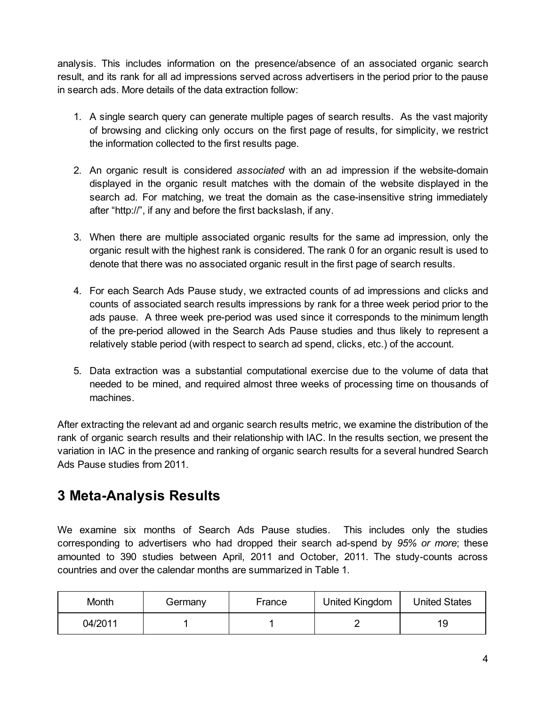analysis. This includes information on the presence/absence of an associated organic search result, and its rank for all ad impressions served across advertisers in the period prior to the pause in search ads. More details of the data extraction follow:

- 1. A single search query can generate multiple pages of search results. As the vast majority of browsing and clicking only occurs on the first page of results, for simplicity, we restrict the information collected to the first results page.
- 2. An organic result is considered *associated* with an ad impression if the website-domain displayed in the organic result matches with the domain of the website displayed in the search ad. For matching, we treat the domain as the case-insensitive string immediately after "http://", if any and before the first backslash, if any.
- 3. When there are multiple associated organic results for the same ad impression, only the organic result with the highest rank is considered. The rank 0 for an organic result is used to denote that there was no associated organic result in the first page of search results.
- 4. For each Search Ads Pause study, we extracted counts of ad impressions and clicks and counts of associated search results impressions by rank for a three week period prior to the ads pause. A three week pre-period was used since it corresponds to the minimum length of the pre-period allowed in the Search Ads Pause studies and thus likely to represent a relatively stable period (with respect to search ad spend, clicks, etc.) of the account.
- 5. Data extraction was a substantial computational exercise due to the volume of data that needed to be mined, and required almost three weeks of processing time on thousands of machines.

After extracting the relevant ad and organic search results metric, we examine the distribution of the rank of organic search results and their relationship with IAC. In the results section, we present the variation in IAC in the presence and ranking of organic search results for a several hundred Search Ads Pause studies from 2011.

### **3** Meta-Analysis Results

We examine six months of Search Ads Pause studies. This includes only the studies corresponding to advertisers who had dropped their search ad-spend by 95% or more; these amounted to 390 studies between April, 2011 and October, 2011. The study-counts across countries and over the calendar months are summarized in Table 1.

| Month   | Germany | France | United Kingdom | <b>United States</b> |
|---------|---------|--------|----------------|----------------------|
| 04/2011 |         |        |                | 19                   |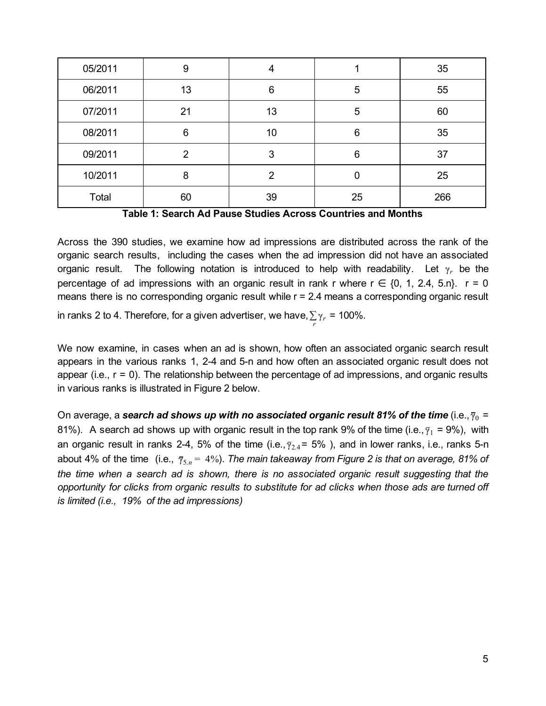| 05/2011 | 9  |    |    | 35  |
|---------|----|----|----|-----|
| 06/2011 | 13 | 6  | 5  | 55  |
| 07/2011 | 21 | 13 | 5  | 60  |
| 08/2011 | 6  | 10 | 6  | 35  |
| 09/2011 | 2  |    | 6  | 37  |
| 10/2011 | 8  | າ  | 0  | 25  |
| Total   | 60 | 39 | 25 | 266 |

**Table 1: Search Ad Pause Studies Across Countries and Months**

Across the 390 studies, we examine how ad impressions are distributed across the rank of the organic search results, including the cases when the ad impression did not have an associated organic result. The following notation is introduced to help with readability. Let γ*<sup>r</sup>* be the percentage of ad impressions with an organic result in rank r where  $r \in \{0, 1, 2.4, 5.0\}$ .  $r = 0$ means there is no corresponding organic result while  $r = 2.4$  means a corresponding organic result

in ranks 2 to 4. Therefore, for a given advertiser, we have,  $\sum\limits_r \gamma_r = 100\%$ .

We now examine, in cases when an ad is shown, how often an associated organic search result appears in the various ranks 1, 2-4 and 5-n and how often an associated organic result does not appear (i.e., r = 0). The relationship between the percentage of ad impressions, and organic results in various ranks is illustrated in Figure 2 below.

On average, a *search ad shows up with no associated organic result 81% of the time* (i.e., γ<sup>0</sup> = 81%). A search ad shows up with organic result in the top rank 9% of the time (i.e.,  $\bar{y}_1$  = 9%), with an organic result in ranks 2-4, 5% of the time (i.e.,  $\bar{y}_{2,4}$  = 5%), and in lower ranks, i.e., ranks 5-n about 4% of the time (i.e.,  $\bar{\gamma}_{5,n}$  = 4%). *The main takeaway from Figure 2 is that on average, 81% of the time when a search ad is shown, there is no associated organic result suggesting that the opportunity for clicks from organic results to substitute for ad clicks when those ads are turned off is limited (i.e., 19% of the ad impressions)*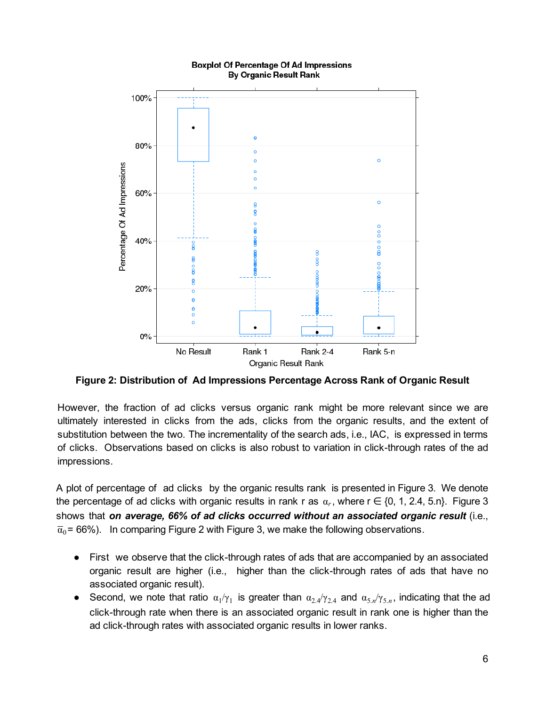

#### **Boxplot Of Percentage Of Ad Impressions By Organic Result Rank**

**Figure 2: Distribution of Ad Impressions Percentage Across Rank of Organic Result**

However, the fraction of ad clicks versus organic rank might be more relevant since we are ultimately interested in clicks from the ads, clicks from the organic results, and the extent of substitution between the two. The incrementality of the search ads, i.e., IAC, is expressed in terms of clicks. Observations based on clicks is also robust to variation in click-through rates of the ad impressions.

A plot of percentage of ad clicks by the organic results rank is presented in Figure 3. We denote the percentage of ad clicks with organic results in rank r as  $\alpha_r$ , where  $r \in \{0, 1, 2.4, 5.0\}$ . Figure 3 shows that *on average, 66% of ad clicks occurred without an associated organic result* (i.e.,  $\bar{a}_0$  = 66%). In comparing Figure 2 with Figure 3, we make the following observations.

- $\bullet$  First we observe that the click-through rates of ads that are accompanied by an associated organic result are higher (i.e., higher than the click-through rates of ads that have no associated organic result).
- Second, we note that ratio  $\alpha_1/\gamma_1$  is greater than  $\alpha_{2.4}/\gamma_{2.4}$  and  $\alpha_{5.0}/\gamma_{5.0}$ , indicating that the ad click-through rate when there is an associated organic result in rank one is higher than the ad click-through rates with associated organic results in lower ranks.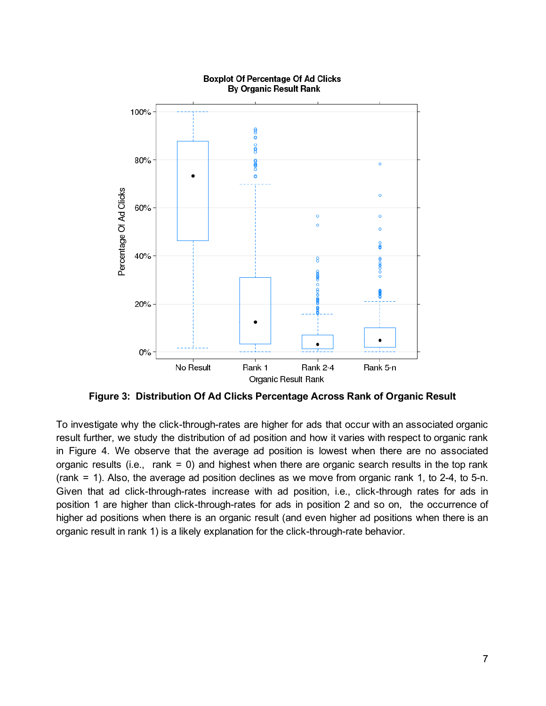

**Boxplot Of Percentage Of Ad Clicks By Organic Result Rank** 

**Figure 3: Distribution Of Ad Clicks Percentage Across Rank of Organic Result**

To investigate why the click-through-rates are higher for ads that occur with an associated organic result further, we study the distribution of ad position and how it varies with respect to organic rank in Figure 4. We observe that the average ad position is lowest when there are no associated organic results (i.e., rank = 0) and highest when there are organic search results in the top rank (rank  $= 1$ ). Also, the average ad position declines as we move from organic rank 1, to 2-4, to 5-n. Given that ad click-through-rates increase with ad position, i.e., click-through rates for ads in position 1 are higher than click-through-rates for ads in position 2 and so on, the occurrence of higher ad positions when there is an organic result (and even higher ad positions when there is an organic result in rank 1) is a likely explanation for the click-through-rate behavior.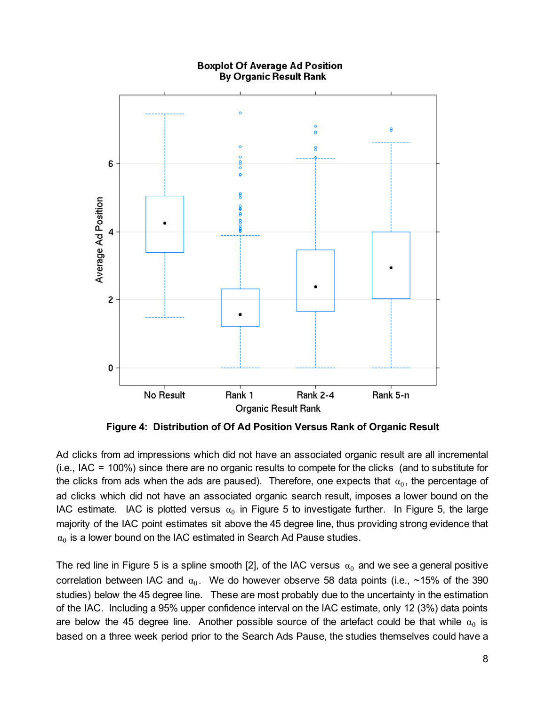

**Figure 4: Distribution of Of Ad Position Versus Rank of Organic Result**

Ad clicks from ad impressions which did not have an associated organic result are all incremental (i.e., IAC = 100%) since there are no organic results to compete for the clicks (and to substitute for the clicks from ads when the ads are paused). Therefore, one expects that  $\alpha_0$ , the percentage of ad clicks which did not have an associated organic search result, imposes a lower bound on the IAC estimate. IAC is plotted versus  $\alpha_0$  in Figure 5 to investigate further. In Figure 5, the large majority of the IAC point estimates sit above the 45 degree line, thus providing strong evidence that  $\alpha_0$  is a lower bound on the IAC estimated in Search Ad Pause studies.

The red line in Figure 5 is a spline smooth [2], of the IAC versus  $\alpha_0$  and we see a general positive correlation between IAC and  $\alpha_0$ . We do however observe 58 data points (i.e., ~15% of the 390 studies) below the 45 degree line. These are most probably due to the uncertainty in the estimation of the IAC. Including a 95% upper confidence interval on the IAC estimate, only 12 (3%) data points are below the 45 degree line. Another possible source of the artefact could be that while  $\alpha_0$  is based on a three week period prior to the Search Ads Pause, the studies themselves could have a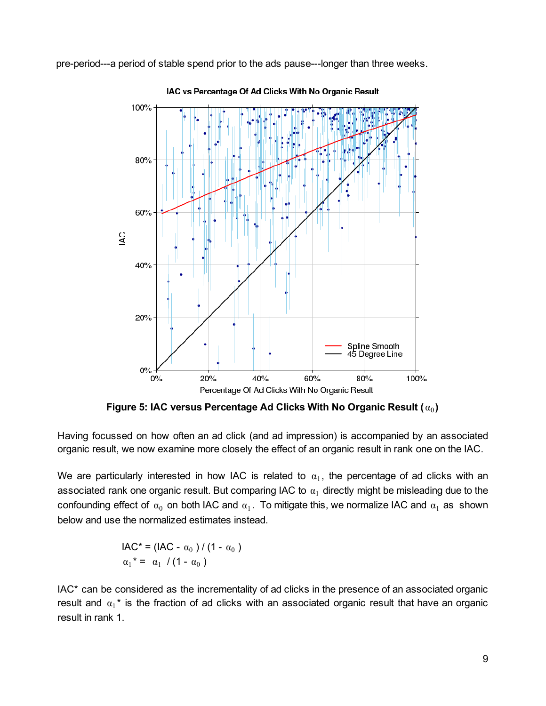pre-period---a period of stable spend prior to the ads pause---longer than three weeks.



IAC vs Percentage Of Ad Clicks With No Organic Result

**Figure 5: IAC versus Percentage Ad Clicks With No Organic Result (** α **)** <sup>0</sup>

Having focussed on how often an ad click (and ad impression) is accompanied by an associated organic result, we now examine more closely the effect of an organic result in rank one on the IAC.

We are particularly interested in how IAC is related to  $\alpha_1$ , the percentage of ad clicks with an associated rank one organic result. But comparing IAC to  $\alpha_1$  directly might be misleading due to the confounding effect of  $\alpha_0$  on both IAC and  $\alpha_1$ . To mitigate this, we normalize IAC and  $\alpha_1$  as shown below and use the normalized estimates instead.

$$
IAC^* = (IAC - \alpha_0) / (1 - \alpha_0)
$$

$$
\alpha_1^* = \alpha_1 / (1 - \alpha_0)
$$

IAC\* can be considered as the incrementality of ad clicks in the presence of an associated organic result and  $\alpha_1^*$  is the fraction of ad clicks with an associated organic result that have an organic result in rank 1.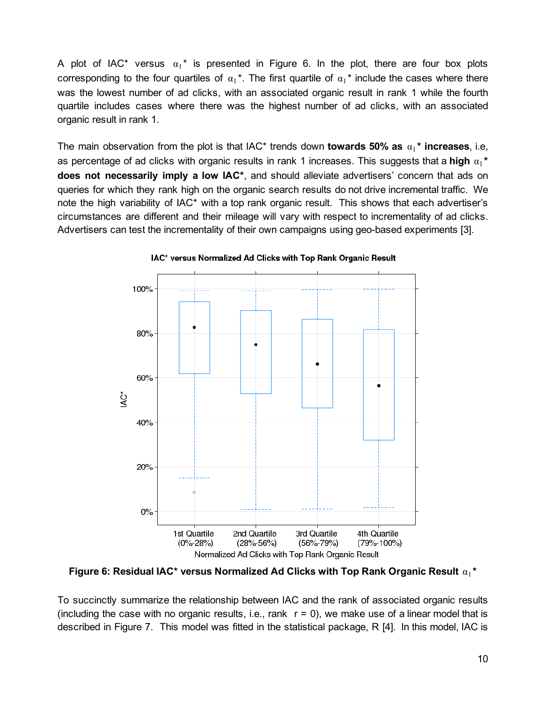A plot of IAC\* versus  $\alpha_1^*$  is presented in Figure 6. In the plot, there are four box plots corresponding to the four quartiles of  $\alpha_1^*$ . The first quartile of  $\alpha_1^*$  include the cases where there was the lowest number of ad clicks, with an associated organic result in rank 1 while the fourth quartile includes cases where there was the highest number of ad clicks, with an associated organic result in rank 1.

The main observation from the plot is that IAC\* trends down **towards 50%** as  $\alpha_1$ \* **increases**, i.e, as percentage of ad clicks with organic results in rank 1 increases. This suggests that a high  $α₁*$ **does not necessarily imply a low IAC\***, and should alleviate advertisers' concern that ads on queries for which they rank high on the organic search results do not drive incremental traffic. We note the high variability of IAC\* with a top rank organic result. This shows that each advertiser's circumstances are different and their mileage will vary with respect to incrementality of ad clicks. Advertisers can test the incrementality of their own campaigns using geo-based experiments [3].



IAC\* versus Normalized Ad Clicks with Top Rank Organic Result

**Figure 6: Residual IAC\* versus Normalized Ad Clicks with Top Rank Organic Result** α **\***<sup>1</sup>

To succinctly summarize the relationship between IAC and the rank of associated organic results (including the case with no organic results, i.e., rank  $r = 0$ ), we make use of a linear model that is described in Figure 7. This model was fitted in the statistical package, R [4]. In this model, IAC is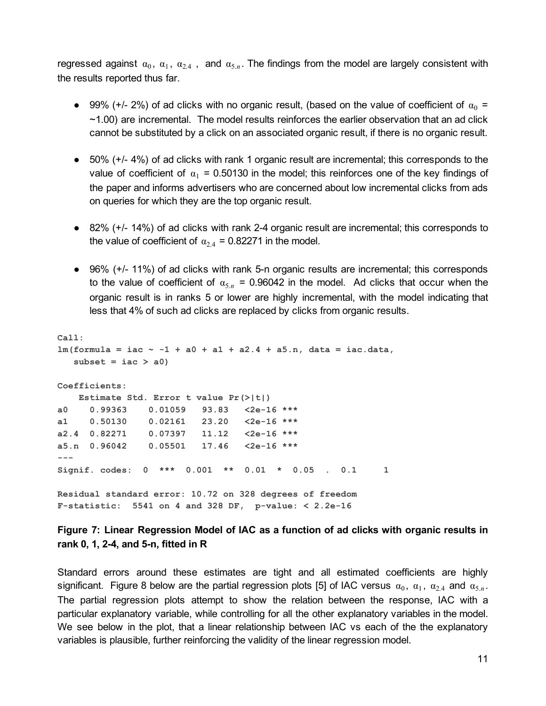regressed against  $\alpha_0$ ,  $\alpha_1$ ,  $\alpha_{2,4}$ , and  $\alpha_{5,n}$ . The findings from the model are largely consistent with the results reported thus far.

- 99% (+/- 2%) of ad clicks with no organic result, (based on the value of coefficient of  $\alpha_0$  =  $\sim$ 1.00) are incremental. The model results reinforces the earlier observation that an ad click cannot be substituted by a click on an associated organic result, if there is no organic result.
- 50% (+/- 4%) of ad clicks with rank 1 organic result are incremental; this corresponds to the value of coefficient of  $\alpha_1$  = 0.50130 in the model; this reinforces one of the key findings of the paper and informs advertisers who are concerned about low incremental clicks from ads on queries for which they are the top organic result.
- 82% (+/- 14%) of ad clicks with rank 2-4 organic result are incremental; this corresponds to the value of coefficient of  $\alpha_{2,4} = 0.82271$  in the model.
- 96% (+/- 11%) of ad clicks with rank 5-n organic results are incremental; this corresponds to the value of coefficient of  $\alpha_{5,n}$  = 0.96042 in the model. Ad clicks that occur when the organic result is in ranks 5 or lower are highly incremental, with the model indicating that less that 4% of such ad clicks are replaced by clicks from organic results.

```
Call:
lm(formula = iac ~ 1 + a0 + a1 + a2.4 + a5.n, data = iac.data,
  subset = iac > a0Coefficients:
   Estimate Std. Error t value Pr(>|t|)
a0 0.99363 0.01059 93.83 <2e16 ***
a1 0.50130 0.02161 23.20 <2e16 ***
a2.4 0.82271 0.07397 11.12 <2e16 ***
a5.n 0.96042 0.05501 17.46 <2e16 ***
- - -Signif. codes: 0 *** 0.001 ** 0.01 * 0.05 . 0.1 1
Residual standard error: 10.72 on 328 degrees of freedom
Fstatistic: 5541 on 4 and 328 DF, pvalue: < 2.2e16
```
#### **Figure 7: Linear Regression Model of IAC as a function of ad clicks with organic results in rank 0, 1, 24, and 5n, fitted in R**

Standard errors around these estimates are tight and all estimated coefficients are highly significant. Figure 8 below are the partial regression plots [5] of IAC versus  $\alpha_0$ ,  $\alpha_1$ ,  $\alpha_{2,4}$  and  $\alpha_{5,n}$ . The partial regression plots attempt to show the relation between the response, IAC with a particular explanatory variable, while controlling for all the other explanatory variables in the model. We see below in the plot, that a linear relationship between IAC vs each of the the explanatory variables is plausible, further reinforcing the validity of the linear regression model.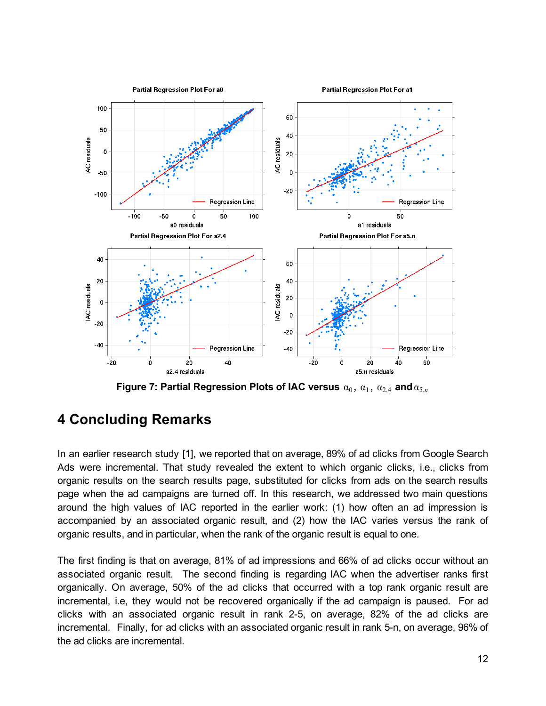

 $\boldsymbol{\epsilon}$  **Figure 7: Partial Regression Plots of IAC versus**  $\alpha_0, \, \alpha_1, \, \alpha_{2.4}$  and  $\alpha_{5. n}$ 

### **4 Concluding Remarks**

In an earlier research study [1], we reported that on average, 89% of ad clicks from Google Search Ads were incremental. That study revealed the extent to which organic clicks, i.e., clicks from organic results on the search results page, substituted for clicks from ads on the search results page when the ad campaigns are turned off. In this research, we addressed two main questions around the high values of IAC reported in the earlier work: (1) how often an ad impression is accompanied by an associated organic result, and (2) how the IAC varies versus the rank of organic results, and in particular, when the rank of the organic result is equal to one.

The first finding is that on average, 81% of ad impressions and 66% of ad clicks occur without an associated organic result. The second finding is regarding IAC when the advertiser ranks first organically. On average, 50% of the ad clicks that occurred with a top rank organic result are incremental, i.e, they would not be recovered organically if the ad campaign is paused. For ad clicks with an associated organic result in rank 2-5, on average, 82% of the ad clicks are incremental. Finally, for ad clicks with an associated organic result in rank 5-n, on average, 96% of the ad clicks are incremental.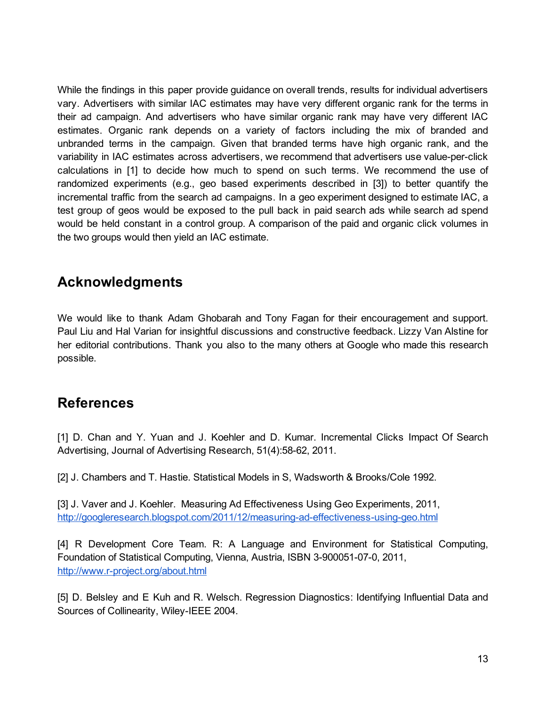While the findings in this paper provide guidance on overall trends, results for individual advertisers vary. Advertisers with similar IAC estimates may have very different organic rank for the terms in their ad campaign. And advertisers who have similar organic rank may have very different IAC estimates. Organic rank depends on a variety of factors including the mix of branded and unbranded terms in the campaign. Given that branded terms have high organic rank, and the variability in IAC estimates across advertisers, we recommend that advertisers use value-per-click calculations in [1] to decide how much to spend on such terms. We recommend the use of randomized experiments (e.g., geo based experiments described in [3]) to better quantify the incremental traffic from the search ad campaigns. In a geo experiment designed to estimate IAC, a test group of geos would be exposed to the pull back in paid search ads while search ad spend would be held constant in a control group. A comparison of the paid and organic click volumes in the two groups would then yield an IAC estimate.

### **Acknowledgments**

We would like to thank Adam Ghobarah and Tony Fagan for their encouragement and support. Paul Liu and Hal Varian for insightful discussions and constructive feedback. Lizzy Van Alstine for her editorial contributions. Thank you also to the many others at Google who made this research possible.

### **References**

[1] D. Chan and Y. Yuan and J. Koehler and D. Kumar. Incremental Clicks Impact Of Search Advertising, Journal of Advertising Research, 51(4):58-62, 2011.

[2] J. Chambers and T. Hastie. Statistical Models in S, Wadsworth & Brooks/Cole 1992.

[3] J. Vaver and J. Koehler. Measuring Ad Effectiveness Using Geo Experiments, 2011, http://googleresearch.blogspot.com/2011/12/measuring-ad-effectiveness-using-geo.html

[4] R Development Core Team. R: A Language and Environment for Statistical Computing, Foundation of Statistical Computing, Vienna, Austria, ISBN 3-900051-07-0, 2011, http://www.r-project.org/about.html

[5] D. Belsley and E Kuh and R. Welsch. Regression Diagnostics: Identifying Influential Data and Sources of Collinearity, Wiley-IEEE 2004.